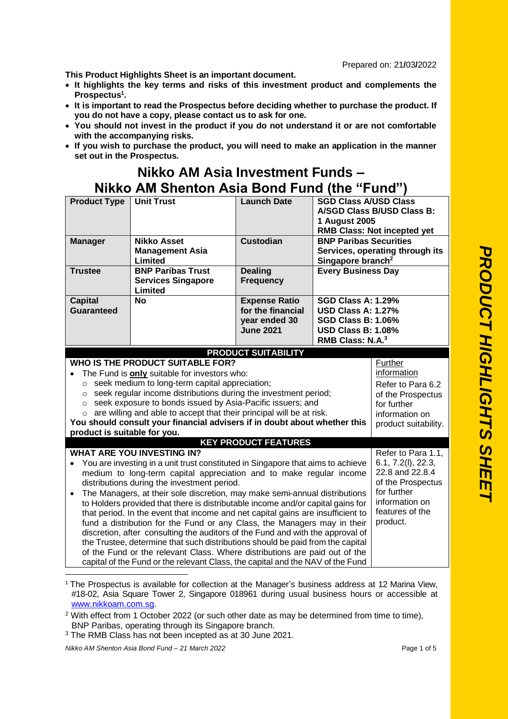Prepared on: 21**/**03**/**2022

**This Product Highlights Sheet is an important document.**

- **It highlights the key terms and risks of this investment product and complements the Prospectus<sup>1</sup> .**
- **It is important to read the Prospectus before deciding whether to purchase the product. If you do not have a copy, please contact us to ask for one.**
- **You should not invest in the product if you do not understand it or are not comfortable with the accompanying risks.**
- **If you wish to purchase the product, you will need to make an application in the manner set out in the Prospectus.**

## **Nikko AM Asia Investment Funds – Nikko AM Shenton Asia Bond Fund (the "Fund")**

| <b>Product Type</b>                                                                                                                                        | <b>Unit Trust</b>                                                                                                 | <b>Launch Date</b>                 | <b>SGD Class A/USD Class</b><br>A/SGD Class B/USD Class B:<br><b>1 August 2005</b><br><b>RMB Class: Not incepted yet</b> |                                  |
|------------------------------------------------------------------------------------------------------------------------------------------------------------|-------------------------------------------------------------------------------------------------------------------|------------------------------------|--------------------------------------------------------------------------------------------------------------------------|----------------------------------|
| <b>Manager</b>                                                                                                                                             | <b>Nikko Asset</b>                                                                                                | <b>Custodian</b>                   | <b>BNP Paribas Securities</b>                                                                                            |                                  |
|                                                                                                                                                            | <b>Management Asia</b><br>Limited                                                                                 |                                    | Singapore branch <sup>2</sup>                                                                                            | Services, operating through its  |
| <b>Trustee</b>                                                                                                                                             | <b>BNP Paribas Trust</b>                                                                                          | <b>Dealing</b>                     | <b>Every Business Day</b>                                                                                                |                                  |
|                                                                                                                                                            | <b>Services Singapore</b><br>Limited                                                                              | <b>Frequency</b>                   |                                                                                                                          |                                  |
| <b>Capital</b>                                                                                                                                             | <b>No</b>                                                                                                         | <b>Expense Ratio</b>               | <b>SGD Class A: 1.29%</b>                                                                                                |                                  |
| <b>Guaranteed</b>                                                                                                                                          |                                                                                                                   | for the financial<br>year ended 30 | <b>USD Class A: 1.27%</b><br><b>SGD Class B: 1.06%</b>                                                                   |                                  |
|                                                                                                                                                            |                                                                                                                   | <b>June 2021</b>                   | <b>USD Class B: 1.08%</b>                                                                                                |                                  |
|                                                                                                                                                            |                                                                                                                   |                                    | RMB Class: N.A. <sup>3</sup>                                                                                             |                                  |
|                                                                                                                                                            |                                                                                                                   | <b>PRODUCT SUITABILITY</b>         |                                                                                                                          |                                  |
|                                                                                                                                                            | <b>WHO IS THE PRODUCT SUITABLE FOR?</b>                                                                           |                                    |                                                                                                                          | Further                          |
|                                                                                                                                                            | The Fund is <b>only</b> suitable for investors who:                                                               |                                    |                                                                                                                          | information                      |
| $\circ$<br>$\circ$                                                                                                                                         | seek medium to long-term capital appreciation;<br>seek regular income distributions during the investment period; |                                    |                                                                                                                          | Refer to Para 6.2                |
| $\circ$                                                                                                                                                    | seek exposure to bonds issued by Asia-Pacific issuers; and                                                        |                                    |                                                                                                                          | of the Prospectus<br>for further |
| $\circ$                                                                                                                                                    | are willing and able to accept that their principal will be at risk.                                              |                                    |                                                                                                                          | information on                   |
|                                                                                                                                                            | You should consult your financial advisers if in doubt about whether this                                         |                                    |                                                                                                                          | product suitability.             |
|                                                                                                                                                            | product is suitable for you.                                                                                      |                                    |                                                                                                                          |                                  |
| <b>KEY PRODUCT FEATURES</b>                                                                                                                                |                                                                                                                   |                                    |                                                                                                                          |                                  |
|                                                                                                                                                            | <b>WHAT ARE YOU INVESTING IN?</b>                                                                                 |                                    |                                                                                                                          | Refer to Para 1.1,               |
| 6.1, 7.2(l), 22.3,<br>You are investing in a unit trust constituted in Singapore that aims to achieve<br>$\bullet$                                         |                                                                                                                   |                                    |                                                                                                                          |                                  |
| 22.8 and 22.8.4<br>medium to long-term capital appreciation and to make regular income<br>of the Prospectus<br>distributions during the investment period. |                                                                                                                   |                                    |                                                                                                                          |                                  |
| for further<br>The Managers, at their sole discretion, may make semi-annual distributions<br>$\bullet$                                                     |                                                                                                                   |                                    |                                                                                                                          |                                  |
| information on<br>to Holders provided that there is distributable income and/or capital gains for                                                          |                                                                                                                   |                                    |                                                                                                                          |                                  |
| features of the<br>that period. In the event that income and net capital gains are insufficient to                                                         |                                                                                                                   |                                    |                                                                                                                          |                                  |
| product.<br>fund a distribution for the Fund or any Class, the Managers may in their                                                                       |                                                                                                                   |                                    |                                                                                                                          |                                  |
| discretion, after consulting the auditors of the Fund and with the approval of                                                                             |                                                                                                                   |                                    |                                                                                                                          |                                  |
| the Trustee, determine that such distributions should be paid from the capital                                                                             |                                                                                                                   |                                    |                                                                                                                          |                                  |
| of the Fund or the relevant Class. Where distributions are paid out of the                                                                                 |                                                                                                                   |                                    |                                                                                                                          |                                  |
| capital of the Fund or the relevant Class, the capital and the NAV of the Fund                                                                             |                                                                                                                   |                                    |                                                                                                                          |                                  |

<sup>1</sup> The Prospectus is available for collection at the Manager's business address at 12 Marina View, #18-02, Asia Square Tower 2, Singapore 018961 during usual business hours or accessible at [www.nikkoam.com.sg.](file://///nikkoam.com/sg/Dept/Intermediary%20Business%20Development/Client%20Services/05%20Fund%20Related/01%20Unit%20Trusts/Prospectus%20-%20Authorised/AppData/Local/Microsoft/Windows/shtan/AppData/Local/Microsoft/Prospectus%202016/April%20Relodgement%202016/ASEAN%20Equity%20Fund/PHS/www.nikkoam.com.sg)

*Nikko AM Shenton Asia Bond Fund – 21 March 2022* Page 1 of 5

 $2$  With effect from 1 October 2022 (or such other date as may be determined from time to time). BNP Paribas, operating through its Singapore branch.

<sup>3</sup> The RMB Class has not been incepted as at 30 June 2021.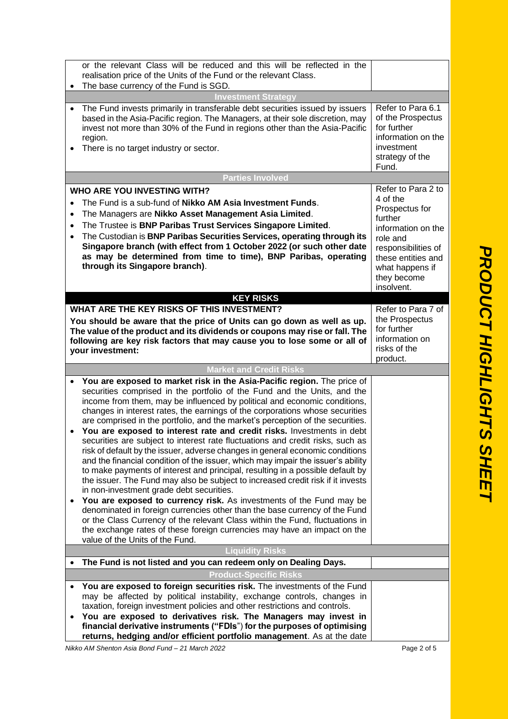| Refer to Para 6.1<br>of the Prospectus<br>for further<br>information on the<br>investment<br>strategy of the<br>Fund.                                                                      |                        |
|--------------------------------------------------------------------------------------------------------------------------------------------------------------------------------------------|------------------------|
|                                                                                                                                                                                            |                        |
| Refer to Para 2 to<br>4 of the<br>Prospectus for<br>further<br>information on the<br>role and<br>responsibilities of<br>these entities and<br>what happens if<br>they become<br>insolvent. | <b>PRODUCT</b>         |
| Refer to Para 7 of<br>the Prospectus<br>for further<br>information on<br>risks of the<br>product.                                                                                          |                        |
|                                                                                                                                                                                            |                        |
|                                                                                                                                                                                            | HIGHLIGHTS S<br>m<br>m |

The base currency of the Fund is SGD. **Investment Strategy** • The Fund invests primarily in transferable debt securities issued by issuers based in the Asia-Pacific region. The Managers, at their sole discretion, may invest not more than 30% of the Fund in regions other than the Asia-Pacific region. • There is no target industry or sector. **Parties Involved WHO ARE YOU INVESTING WITH?** • The Fund is a sub-fund of **Nikko AM Asia Investment Funds**. • The Managers are **Nikko Asset Management Asia Limited**. • The Trustee is **BNP Paribas Trust Services Singapore Limited**. • The Custodian is **BNP Paribas Securities Services, operating through its Singapore branch (with effect from 1 October 2022 (or such other date as may be determined from time to time), BNP Paribas, operating through its Singapore branch)**. **KEY RISKS WHAT ARE THE KEY RISKS OF THIS INVESTMENT? You should be aware that the price of Units can go down as well as up. The value of the product and its dividends or coupons may rise or fall. The following are key risk factors that may cause you to lose some or all of your investment: Market and Credit Risks** • **You are exposed to market risk in the Asia-Pacific region.** The price of securities comprised in the portfolio of the Fund and the Units, and the income from them, may be influenced by political and economic conditions, changes in interest rates, the earnings of the corporations whose securities are comprised in the portfolio, and the market's perception of the securities. • **You are exposed to interest rate and credit risks.** Investments in debt securities are subject to interest rate fluctuations and credit risks, such as risk of default by the issuer, adverse changes in general economic conditions and the financial condition of the issuer, which may impair the issuer's ability to make payments of interest and principal, resulting in a possible default by the issuer. The Fund may also be subject to increased credit risk if it invests in non-investment grade debt securities. • **You are exposed to currency risk.** As investments of the Fund may be denominated in foreign currencies other than the base currency of the Fund or the Class Currency of the relevant Class within the Fund, fluctuations in the exchange rates of these foreign currencies may have an impact on the value of the Units of the Fund. **Liquidity Risks** • **The Fund is not listed and you can redeem only on Dealing Days. Product-Specific Risks** • **You are exposed to foreign securities risk.** The investments of the Fund may be affected by political instability, exchange controls, changes in taxation, foreign investment policies and other restrictions and controls. • **You are exposed to derivatives risk. The Managers may invest in financial derivative instruments ("FDIs**") **for the purposes of optimising returns, hedging and/or efficient portfolio management**. As at the date

or the relevant Class will be reduced and this will be reflected in the

realisation price of the Units of the Fund or the relevant Class.

*Nikko AM Shenton Asia Bond Fund – 21 March 2022* Page 2 of 5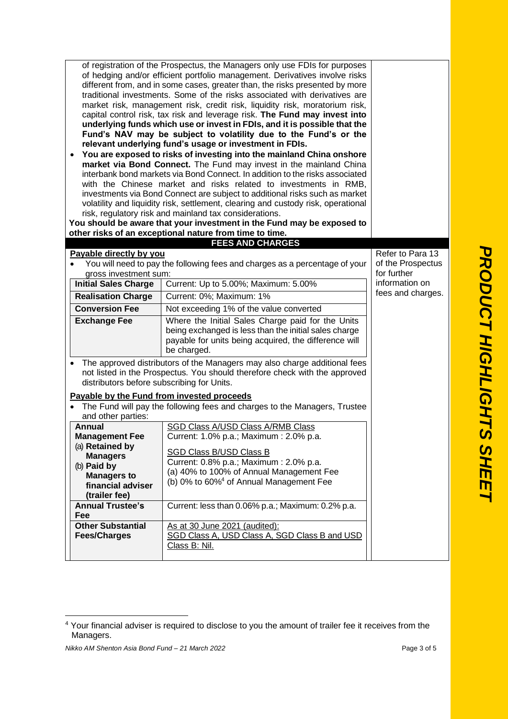|                                                                                                 | of registration of the Prospectus, the Managers only use FDIs for purposes<br>of hedging and/or efficient portfolio management. Derivatives involve risks<br>different from, and in some cases, greater than, the risks presented by more<br>traditional investments. Some of the risks associated with derivatives are<br>market risk, management risk, credit risk, liquidity risk, moratorium risk,<br>capital control risk, tax risk and leverage risk. The Fund may invest into<br>underlying funds which use or invest in FDIs, and it is possible that the<br>Fund's NAV may be subject to volatility due to the Fund's or the<br>relevant underlying fund's usage or investment in FDIs.<br>You are exposed to risks of investing into the mainland China onshore<br>market via Bond Connect. The Fund may invest in the mainland China<br>interbank bond markets via Bond Connect. In addition to the risks associated<br>with the Chinese market and risks related to investments in RMB,<br>investments via Bond Connect are subject to additional risks such as market<br>volatility and liquidity risk, settlement, clearing and custody risk, operational<br>risk, regulatory risk and mainland tax considerations.<br>You should be aware that your investment in the Fund may be exposed to |                                                                                                                                                                                    |                                  |  |
|-------------------------------------------------------------------------------------------------|-------------------------------------------------------------------------------------------------------------------------------------------------------------------------------------------------------------------------------------------------------------------------------------------------------------------------------------------------------------------------------------------------------------------------------------------------------------------------------------------------------------------------------------------------------------------------------------------------------------------------------------------------------------------------------------------------------------------------------------------------------------------------------------------------------------------------------------------------------------------------------------------------------------------------------------------------------------------------------------------------------------------------------------------------------------------------------------------------------------------------------------------------------------------------------------------------------------------------------------------------------------------------------------------------------------|------------------------------------------------------------------------------------------------------------------------------------------------------------------------------------|----------------------------------|--|
|                                                                                                 |                                                                                                                                                                                                                                                                                                                                                                                                                                                                                                                                                                                                                                                                                                                                                                                                                                                                                                                                                                                                                                                                                                                                                                                                                                                                                                             | other risks of an exceptional nature from time to time.                                                                                                                            |                                  |  |
|                                                                                                 |                                                                                                                                                                                                                                                                                                                                                                                                                                                                                                                                                                                                                                                                                                                                                                                                                                                                                                                                                                                                                                                                                                                                                                                                                                                                                                             | <b>FEES AND CHARGES</b>                                                                                                                                                            | Refer to Para 13                 |  |
|                                                                                                 | Payable directly by you<br>You will need to pay the following fees and charges as a percentage of your                                                                                                                                                                                                                                                                                                                                                                                                                                                                                                                                                                                                                                                                                                                                                                                                                                                                                                                                                                                                                                                                                                                                                                                                      |                                                                                                                                                                                    | of the Prospectus<br>for further |  |
|                                                                                                 | gross investment sum:<br><b>Initial Sales Charge</b>                                                                                                                                                                                                                                                                                                                                                                                                                                                                                                                                                                                                                                                                                                                                                                                                                                                                                                                                                                                                                                                                                                                                                                                                                                                        | Current: Up to 5.00%; Maximum: 5.00%                                                                                                                                               | information on                   |  |
|                                                                                                 |                                                                                                                                                                                                                                                                                                                                                                                                                                                                                                                                                                                                                                                                                                                                                                                                                                                                                                                                                                                                                                                                                                                                                                                                                                                                                                             |                                                                                                                                                                                    | fees and charges.                |  |
|                                                                                                 | <b>Realisation Charge</b>                                                                                                                                                                                                                                                                                                                                                                                                                                                                                                                                                                                                                                                                                                                                                                                                                                                                                                                                                                                                                                                                                                                                                                                                                                                                                   | Current: 0%; Maximum: 1%                                                                                                                                                           |                                  |  |
|                                                                                                 | <b>Conversion Fee</b>                                                                                                                                                                                                                                                                                                                                                                                                                                                                                                                                                                                                                                                                                                                                                                                                                                                                                                                                                                                                                                                                                                                                                                                                                                                                                       | Not exceeding 1% of the value converted                                                                                                                                            |                                  |  |
|                                                                                                 | <b>Exchange Fee</b>                                                                                                                                                                                                                                                                                                                                                                                                                                                                                                                                                                                                                                                                                                                                                                                                                                                                                                                                                                                                                                                                                                                                                                                                                                                                                         | Where the Initial Sales Charge paid for the Units<br>being exchanged is less than the initial sales charge<br>payable for units being acquired, the difference will<br>be charged. |                                  |  |
|                                                                                                 | The approved distributors of the Managers may also charge additional fees<br>not listed in the Prospectus. You should therefore check with the approved<br>distributors before subscribing for Units.                                                                                                                                                                                                                                                                                                                                                                                                                                                                                                                                                                                                                                                                                                                                                                                                                                                                                                                                                                                                                                                                                                       |                                                                                                                                                                                    |                                  |  |
|                                                                                                 |                                                                                                                                                                                                                                                                                                                                                                                                                                                                                                                                                                                                                                                                                                                                                                                                                                                                                                                                                                                                                                                                                                                                                                                                                                                                                                             | Payable by the Fund from invested proceeds                                                                                                                                         |                                  |  |
| The Fund will pay the following fees and charges to the Managers, Trustee<br>and other parties: |                                                                                                                                                                                                                                                                                                                                                                                                                                                                                                                                                                                                                                                                                                                                                                                                                                                                                                                                                                                                                                                                                                                                                                                                                                                                                                             |                                                                                                                                                                                    |                                  |  |
|                                                                                                 | <b>Annual</b>                                                                                                                                                                                                                                                                                                                                                                                                                                                                                                                                                                                                                                                                                                                                                                                                                                                                                                                                                                                                                                                                                                                                                                                                                                                                                               | <b>SGD Class A/USD Class A/RMB Class</b>                                                                                                                                           |                                  |  |
|                                                                                                 | <b>Management Fee</b>                                                                                                                                                                                                                                                                                                                                                                                                                                                                                                                                                                                                                                                                                                                                                                                                                                                                                                                                                                                                                                                                                                                                                                                                                                                                                       | Current: 1.0% p.a.; Maximum : 2.0% p.a.                                                                                                                                            |                                  |  |
|                                                                                                 | (a) Retained by                                                                                                                                                                                                                                                                                                                                                                                                                                                                                                                                                                                                                                                                                                                                                                                                                                                                                                                                                                                                                                                                                                                                                                                                                                                                                             | <b>SGD Class B/USD Class B</b>                                                                                                                                                     |                                  |  |
|                                                                                                 | <b>Managers</b>                                                                                                                                                                                                                                                                                                                                                                                                                                                                                                                                                                                                                                                                                                                                                                                                                                                                                                                                                                                                                                                                                                                                                                                                                                                                                             | Current: 0.8% p.a.; Maximum : 2.0% p.a.                                                                                                                                            |                                  |  |
| (b) Paid by<br><b>Managers to</b>                                                               |                                                                                                                                                                                                                                                                                                                                                                                                                                                                                                                                                                                                                                                                                                                                                                                                                                                                                                                                                                                                                                                                                                                                                                                                                                                                                                             | (a) 40% to 100% of Annual Management Fee                                                                                                                                           |                                  |  |
|                                                                                                 | financial adviser                                                                                                                                                                                                                                                                                                                                                                                                                                                                                                                                                                                                                                                                                                                                                                                                                                                                                                                                                                                                                                                                                                                                                                                                                                                                                           | (b) 0% to 60% <sup>4</sup> of Annual Management Fee                                                                                                                                |                                  |  |
|                                                                                                 | (trailer fee)                                                                                                                                                                                                                                                                                                                                                                                                                                                                                                                                                                                                                                                                                                                                                                                                                                                                                                                                                                                                                                                                                                                                                                                                                                                                                               |                                                                                                                                                                                    |                                  |  |
|                                                                                                 | <b>Annual Trustee's</b><br>Fee                                                                                                                                                                                                                                                                                                                                                                                                                                                                                                                                                                                                                                                                                                                                                                                                                                                                                                                                                                                                                                                                                                                                                                                                                                                                              | Current: less than 0.06% p.a.; Maximum: 0.2% p.a.                                                                                                                                  |                                  |  |
|                                                                                                 | <b>Other Substantial</b>                                                                                                                                                                                                                                                                                                                                                                                                                                                                                                                                                                                                                                                                                                                                                                                                                                                                                                                                                                                                                                                                                                                                                                                                                                                                                    | As at 30 June 2021 (audited):                                                                                                                                                      |                                  |  |
|                                                                                                 | <b>Fees/Charges</b>                                                                                                                                                                                                                                                                                                                                                                                                                                                                                                                                                                                                                                                                                                                                                                                                                                                                                                                                                                                                                                                                                                                                                                                                                                                                                         | SGD Class A, USD Class A, SGD Class B and USD                                                                                                                                      |                                  |  |
|                                                                                                 |                                                                                                                                                                                                                                                                                                                                                                                                                                                                                                                                                                                                                                                                                                                                                                                                                                                                                                                                                                                                                                                                                                                                                                                                                                                                                                             | Class B: Nil.                                                                                                                                                                      |                                  |  |
|                                                                                                 |                                                                                                                                                                                                                                                                                                                                                                                                                                                                                                                                                                                                                                                                                                                                                                                                                                                                                                                                                                                                                                                                                                                                                                                                                                                                                                             |                                                                                                                                                                                    |                                  |  |

*Nikko AM Shenton Asia Bond Fund – 21 March 2022* Page 3 of 5

<sup>&</sup>lt;sup>4</sup> Your financial adviser is required to disclose to you the amount of trailer fee it receives from the Managers.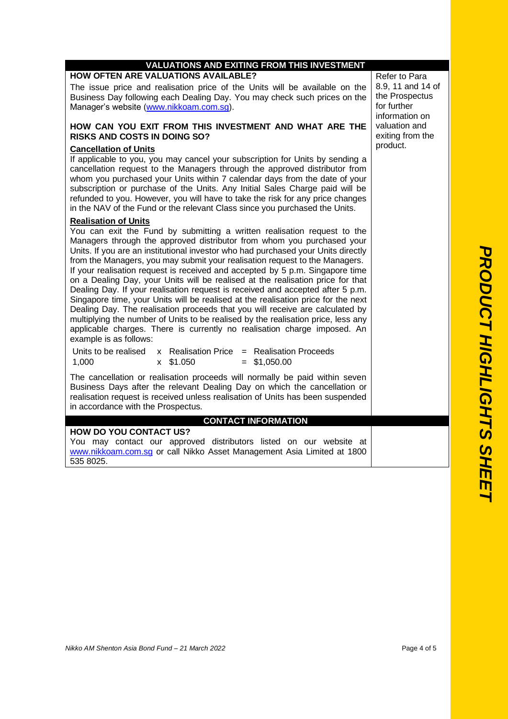| <b>VALUATIONS AND EXITING FROM THIS INVESTMENT</b>                                                                                                                                                                                                                                                                                                                                                                                                                                                                                                                                                                                                                                                                                                                                                                                                                                                                                                                           |                                                                                       |  |  |
|------------------------------------------------------------------------------------------------------------------------------------------------------------------------------------------------------------------------------------------------------------------------------------------------------------------------------------------------------------------------------------------------------------------------------------------------------------------------------------------------------------------------------------------------------------------------------------------------------------------------------------------------------------------------------------------------------------------------------------------------------------------------------------------------------------------------------------------------------------------------------------------------------------------------------------------------------------------------------|---------------------------------------------------------------------------------------|--|--|
| <b>HOW OFTEN ARE VALUATIONS AVAILABLE?</b><br>The issue price and realisation price of the Units will be available on the<br>Business Day following each Dealing Day. You may check such prices on the<br>Manager's website (www.nikkoam.com.sg).                                                                                                                                                                                                                                                                                                                                                                                                                                                                                                                                                                                                                                                                                                                            | Refer to Para<br>8.9, 11 and 14 of<br>the Prospectus<br>for further<br>information on |  |  |
| HOW CAN YOU EXIT FROM THIS INVESTMENT AND WHAT ARE THE<br><b>RISKS AND COSTS IN DOING SO?</b>                                                                                                                                                                                                                                                                                                                                                                                                                                                                                                                                                                                                                                                                                                                                                                                                                                                                                | valuation and<br>exiting from the                                                     |  |  |
| <b>Cancellation of Units</b><br>If applicable to you, you may cancel your subscription for Units by sending a<br>cancellation request to the Managers through the approved distributor from<br>whom you purchased your Units within 7 calendar days from the date of your<br>subscription or purchase of the Units. Any Initial Sales Charge paid will be<br>refunded to you. However, you will have to take the risk for any price changes<br>in the NAV of the Fund or the relevant Class since you purchased the Units.                                                                                                                                                                                                                                                                                                                                                                                                                                                   | product.                                                                              |  |  |
| <b>Realisation of Units</b><br>You can exit the Fund by submitting a written realisation request to the<br>Managers through the approved distributor from whom you purchased your<br>Units. If you are an institutional investor who had purchased your Units directly<br>from the Managers, you may submit your realisation request to the Managers.<br>If your realisation request is received and accepted by 5 p.m. Singapore time<br>on a Dealing Day, your Units will be realised at the realisation price for that<br>Dealing Day. If your realisation request is received and accepted after 5 p.m.<br>Singapore time, your Units will be realised at the realisation price for the next<br>Dealing Day. The realisation proceeds that you will receive are calculated by<br>multiplying the number of Units to be realised by the realisation price, less any<br>applicable charges. There is currently no realisation charge imposed. An<br>example is as follows: |                                                                                       |  |  |
| Units to be realised<br>x Realisation Price = Realisation Proceeds<br>1,000<br>\$1,050<br>$=$ \$1,050.00<br>$\mathsf{x}$                                                                                                                                                                                                                                                                                                                                                                                                                                                                                                                                                                                                                                                                                                                                                                                                                                                     |                                                                                       |  |  |
| The cancellation or realisation proceeds will normally be paid within seven<br>Business Days after the relevant Dealing Day on which the cancellation or<br>realisation request is received unless realisation of Units has been suspended<br>in accordance with the Prospectus.                                                                                                                                                                                                                                                                                                                                                                                                                                                                                                                                                                                                                                                                                             |                                                                                       |  |  |
| <b>CONTACT INFORMATION</b>                                                                                                                                                                                                                                                                                                                                                                                                                                                                                                                                                                                                                                                                                                                                                                                                                                                                                                                                                   |                                                                                       |  |  |
| <b>HOW DO YOU CONTACT US?</b><br>You may contact our approved distributors listed on our website at<br>www.nikkoam.com.sq or call Nikko Asset Management Asia Limited at 1800<br>535 8025.                                                                                                                                                                                                                                                                                                                                                                                                                                                                                                                                                                                                                                                                                                                                                                                   |                                                                                       |  |  |